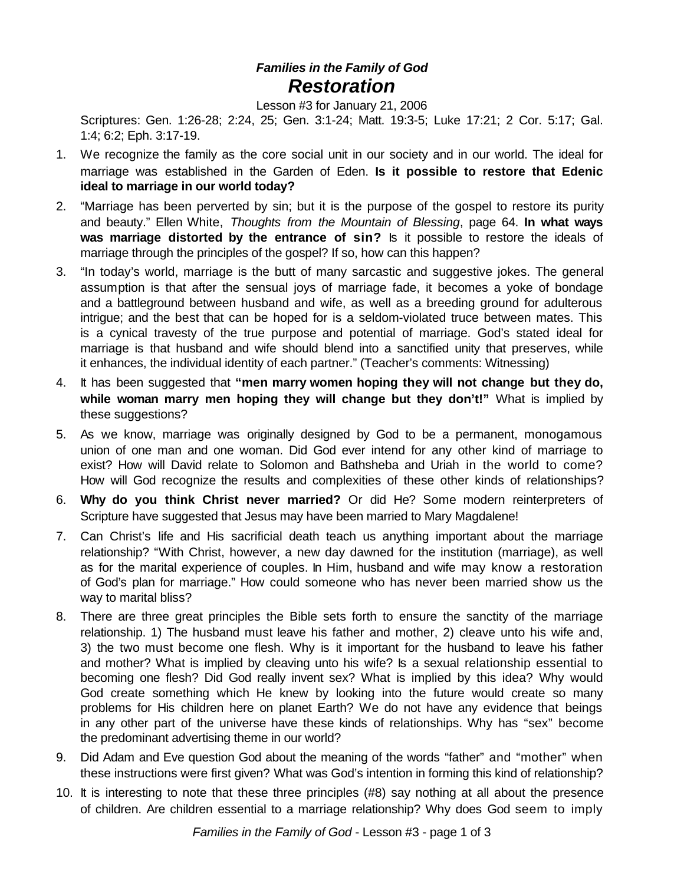## *Families in the Family of God Restoration*

Lesson #3 for January 21, 2006

Scriptures: Gen. 1:26-28; 2:24, 25; Gen. 3:1-24; Matt. 19:3-5; Luke 17:21; 2 Cor. 5:17; Gal. 1:4; 6:2; Eph. 3:17-19.

- 1. We recognize the family as the core social unit in our society and in our world. The ideal for marriage was established in the Garden of Eden. **Is it possible to restore that Edenic ideal to marriage in our world today?**
- 2. "Marriage has been perverted by sin; but it is the purpose of the gospel to restore its purity and beauty." Ellen White, *Thoughts from the Mountain of Blessing*, page 64. **In what ways was marriage distorted by the entrance of sin?** Is it possible to restore the ideals of marriage through the principles of the gospel? If so, how can this happen?
- 3. "In today's world, marriage is the butt of many sarcastic and suggestive jokes. The general assumption is that after the sensual joys of marriage fade, it becomes a yoke of bondage and a battleground between husband and wife, as well as a breeding ground for adulterous intrigue; and the best that can be hoped for is a seldom-violated truce between mates. This is a cynical travesty of the true purpose and potential of marriage. God's stated ideal for marriage is that husband and wife should blend into a sanctified unity that preserves, while it enhances, the individual identity of each partner." (Teacher's comments: Witnessing)
- 4. It has been suggested that **"men marry women hoping they will not change but they do, while woman marry men hoping they will change but they don't!"** What is implied by these suggestions?
- 5. As we know, marriage was originally designed by God to be a permanent, monogamous union of one man and one woman. Did God ever intend for any other kind of marriage to exist? How will David relate to Solomon and Bathsheba and Uriah in the world to come? How will God recognize the results and complexities of these other kinds of relationships?
- 6. **Why do you think Christ never married?** Or did He? Some modern reinterpreters of Scripture have suggested that Jesus may have been married to Mary Magdalene!
- 7. Can Christ's life and His sacrificial death teach us anything important about the marriage relationship? "With Christ, however, a new day dawned for the institution (marriage), as well as for the marital experience of couples. In Him, husband and wife may know a restoration of God's plan for marriage." How could someone who has never been married show us the way to marital bliss?
- 8. There are three great principles the Bible sets forth to ensure the sanctity of the marriage relationship. 1) The husband must leave his father and mother, 2) cleave unto his wife and, 3) the two must become one flesh. Why is it important for the husband to leave his father and mother? What is implied by cleaving unto his wife? Is a sexual relationship essential to becoming one flesh? Did God really invent sex? What is implied by this idea? Why would God create something which He knew by looking into the future would create so many problems for His children here on planet Earth? We do not have any evidence that beings in any other part of the universe have these kinds of relationships. Why has "sex" become the predominant advertising theme in our world?
- 9. Did Adam and Eve question God about the meaning of the words "father" and "mother" when these instructions were first given? What was God's intention in forming this kind of relationship?
- 10. It is interesting to note that these three principles (#8) say nothing at all about the presence of children. Are children essential to a marriage relationship? Why does God seem to imply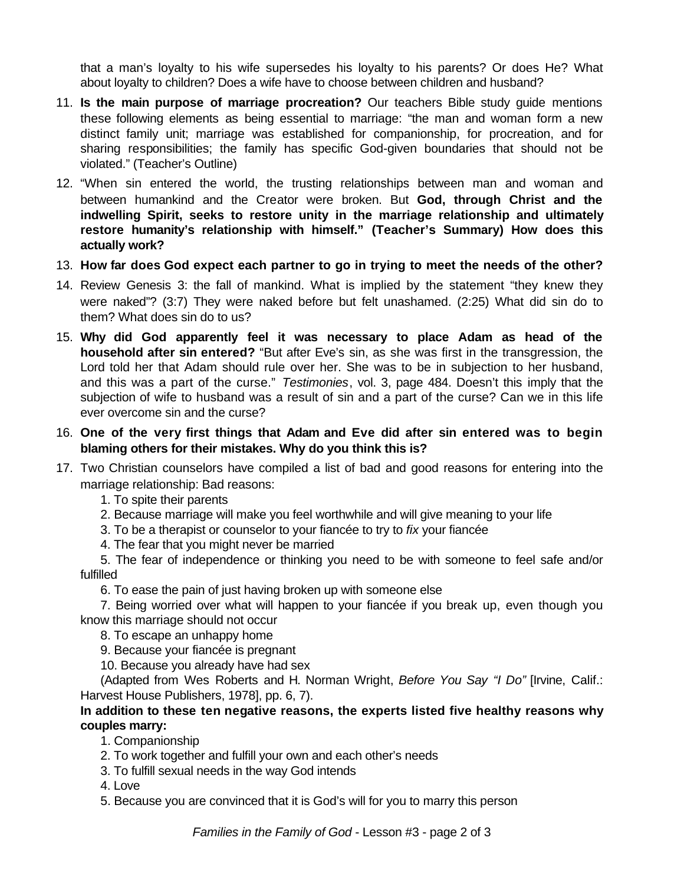that a man's loyalty to his wife supersedes his loyalty to his parents? Or does He? What about loyalty to children? Does a wife have to choose between children and husband?

- 11. **Is the main purpose of marriage procreation?** Our teachers Bible study guide mentions these following elements as being essential to marriage: "the man and woman form a new distinct family unit; marriage was established for companionship, for procreation, and for sharing responsibilities; the family has specific God-given boundaries that should not be violated." (Teacher's Outline)
- 12. "When sin entered the world, the trusting relationships between man and woman and between humankind and the Creator were broken. But **God, through Christ and the indwelling Spirit, seeks to restore unity in the marriage relationship and ultimately restore humanity's relationship with himself." (Teacher's Summary) How does this actually work?**
- 13. **How far does God expect each partner to go in trying to meet the needs of the other?**
- 14. Review Genesis 3: the fall of mankind. What is implied by the statement "they knew they were naked"? (3:7) They were naked before but felt unashamed. (2:25) What did sin do to them? What does sin do to us?
- 15. **Why did God apparently feel it was necessary to place Adam as head of the household after sin entered?** "But after Eve's sin, as she was first in the transgression, the Lord told her that Adam should rule over her. She was to be in subjection to her husband, and this was a part of the curse." *Testimonies*, vol. 3, page 484. Doesn't this imply that the subjection of wife to husband was a result of sin and a part of the curse? Can we in this life ever overcome sin and the curse?
- 16. **One of the very first things that Adam and Eve did after sin entered was to begin blaming others for their mistakes. Why do you think this is?**
- 17. Two Christian counselors have compiled a list of bad and good reasons for entering into the marriage relationship: Bad reasons:
	- 1. To spite their parents
	- 2. Because marriage will make you feel worthwhile and will give meaning to your life
	- 3. To be a therapist or counselor to your fiancée to try to *fix* your fiancée
	- 4. The fear that you might never be married

5. The fear of independence or thinking you need to be with someone to feel safe and/or fulfilled

6. To ease the pain of just having broken up with someone else

7. Being worried over what will happen to your fiancée if you break up, even though you know this marriage should not occur

8. To escape an unhappy home

9. Because your fiancée is pregnant

10. Because you already have had sex

(Adapted from Wes Roberts and H. Norman Wright, *Before You Say "I Do"* [Irvine, Calif.: Harvest House Publishers, 1978], pp. 6, 7).

## **In addition to these ten negative reasons, the experts listed five healthy reasons why couples marry:**

- 1. Companionship
- 2. To work together and fulfill your own and each other's needs
- 3. To fulfill sexual needs in the way God intends
- 4. Love
- 5. Because you are convinced that it is God's will for you to marry this person